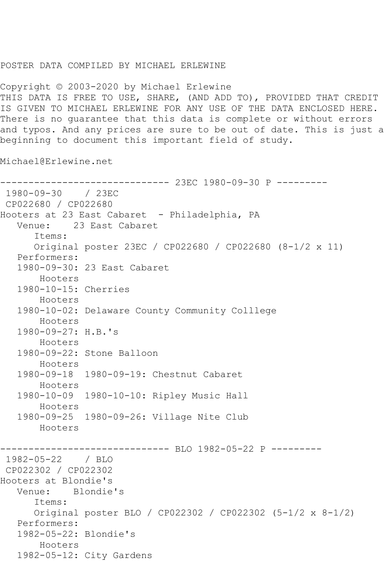## POSTER DATA COMPILED BY MICHAEL ERLEWINE

Copyright © 2003-2020 by Michael Erlewine THIS DATA IS FREE TO USE, SHARE, (AND ADD TO), PROVIDED THAT CREDIT IS GIVEN TO MICHAEL ERLEWINE FOR ANY USE OF THE DATA ENCLOSED HERE. There is no guarantee that this data is complete or without errors and typos. And any prices are sure to be out of date. This is just a beginning to document this important field of study.

Michael@Erlewine.net

------------------------------ 23EC 1980-09-30 P --------- 1980-09-30 / 23EC CP022680 / CP022680 Hooters at 23 East Cabaret - Philadelphia, PA Venue: 23 East Cabaret Items: Original poster 23EC / CP022680 / CP022680 (8-1/2 x 11) Performers: 1980-09-30: 23 East Cabaret Hooters 1980-10-15: Cherries Hooters 1980-10-02: Delaware County Community Colllege Hooters 1980-09-27: H.B.'s Hooters 1980-09-22: Stone Balloon Hooters 1980-09-18 1980-09-19: Chestnut Cabaret Hooters 1980-10-09 1980-10-10: Ripley Music Hall Hooters 1980-09-25 1980-09-26: Village Nite Club Hooters ------------------------------ BLO 1982-05-22 P --------- 1982-05-22 / BLO CP022302 / CP022302 Hooters at Blondie's Venue: Blondie's Items: Original poster BLO / CP022302 / CP022302 (5-1/2 x 8-1/2) Performers: 1982-05-22: Blondie's Hooters 1982-05-12: City Gardens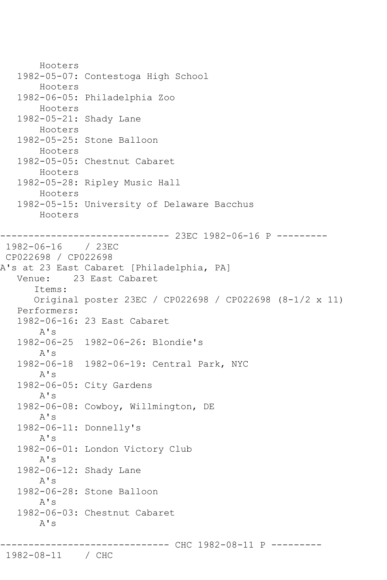Hooters 1982-05-07: Contestoga High School Hooters 1982-06-05: Philadelphia Zoo Hooters 1982-05-21: Shady Lane Hooters 1982-05-25: Stone Balloon Hooters 1982-05-05: Chestnut Cabaret Hooters 1982-05-28: Ripley Music Hall Hooters 1982-05-15: University of Delaware Bacchus Hooters ------------------------------ 23EC 1982-06-16 P --------- 1982-06-16 / 23EC CP022698 / CP022698 A's at 23 East Cabaret [Philadelphia, PA]<br>Venue: 23 East Cabaret 23 East Cabaret Items: Original poster 23EC / CP022698 / CP022698 (8-1/2 x 11) Performers: 1982-06-16: 23 East Cabaret A's 1982-06-25 1982-06-26: Blondie's A's 1982-06-18 1982-06-19: Central Park, NYC A's 1982-06-05: City Gardens A's 1982-06-08: Cowboy, Willmington, DE A's 1982-06-11: Donnelly's A's 1982-06-01: London Victory Club A's 1982-06-12: Shady Lane A's 1982-06-28: Stone Balloon A's 1982-06-03: Chestnut Cabaret A's ------------------------------ CHC 1982-08-11 P ---------

1982-08-11 / CHC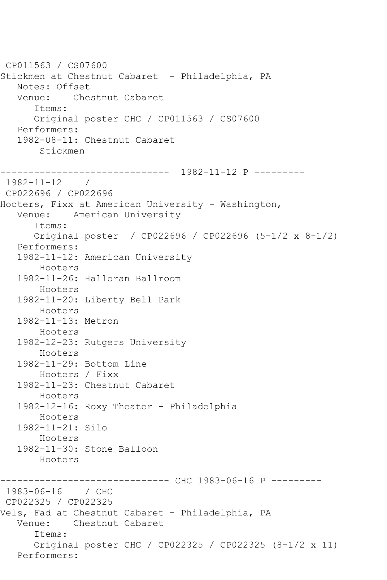CP011563 / CS07600 Stickmen at Chestnut Cabaret - Philadelphia, PA Notes: Offset Venue: Chestnut Cabaret Items: Original poster CHC / CP011563 / CS07600 Performers: 1982-08-11: Chestnut Cabaret Stickmen ------------------------------ 1982-11-12 P --------- 1982-11-12 / CP022696 / CP022696 Hooters, Fixx at American University - Washington, Venue: American University Items: Original poster / CP022696 / CP022696 (5-1/2 x 8-1/2) Performers: 1982-11-12: American University Hooters 1982-11-26: Halloran Ballroom Hooters 1982-11-20: Liberty Bell Park Hooters 1982-11-13: Metron Hooters 1982-12-23: Rutgers University Hooters 1982-11-29: Bottom Line Hooters / Fixx 1982-11-23: Chestnut Cabaret Hooters 1982-12-16: Roxy Theater - Philadelphia Hooters 1982-11-21: Silo Hooters 1982-11-30: Stone Balloon Hooters ------------------------------ CHC 1983-06-16 P --------- 1983-06-16 / CHC CP022325 / CP022325 Vels, Fad at Chestnut Cabaret - Philadelphia, PA Venue: Chestnut Cabaret Items: Original poster CHC / CP022325 / CP022325 (8-1/2 x 11) Performers: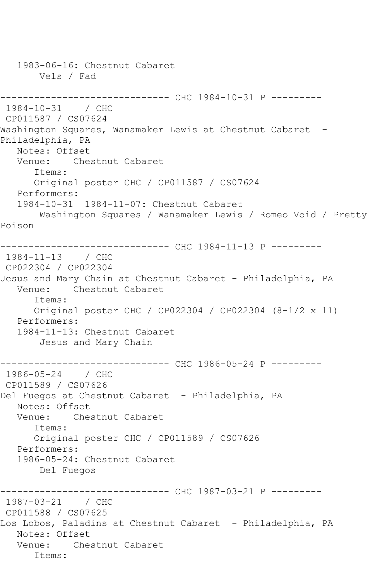1983-06-16: Chestnut Cabaret Vels / Fad ------------------------------ CHC 1984-10-31 P --------- 1984-10-31 / CHC CP011587 / CS07624 Washington Squares, Wanamaker Lewis at Chestnut Cabaret -Philadelphia, PA Notes: Offset Venue: Chestnut Cabaret Items: Original poster CHC / CP011587 / CS07624 Performers: 1984-10-31 1984-11-07: Chestnut Cabaret Washington Squares / Wanamaker Lewis / Romeo Void / Pretty Poison ------------------------------ CHC 1984-11-13 P --------- 1984-11-13 / CHC CP022304 / CP022304 Jesus and Mary Chain at Chestnut Cabaret - Philadelphia, PA Venue: Chestnut Cabaret Items: Original poster CHC / CP022304 / CP022304 (8-1/2 x 11) Performers: 1984-11-13: Chestnut Cabaret Jesus and Mary Chain ------------------------------ CHC 1986-05-24 P --------- 1986-05-24 / CHC CP011589 / CS07626 Del Fuegos at Chestnut Cabaret - Philadelphia, PA Notes: Offset<br>Venue: Chea Chestnut Cabaret Items: Original poster CHC / CP011589 / CS07626 Performers: 1986-05-24: Chestnut Cabaret Del Fuegos ------------ CHC 1987-03-21 P ---------1987-03-21 / CHC CP011588 / CS07625 Los Lobos, Paladins at Chestnut Cabaret - Philadelphia, PA Notes: Offset Venue: Chestnut Cabaret Items: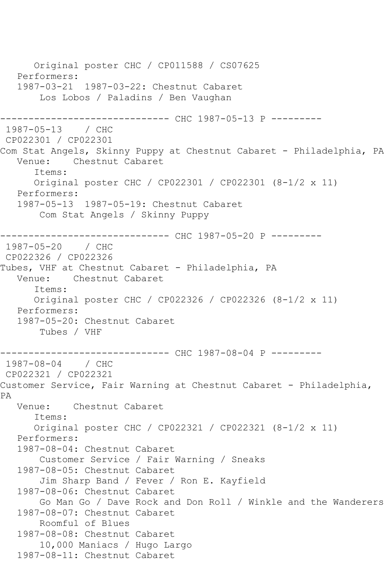```
 Original poster CHC / CP011588 / CS07625
   Performers:
   1987-03-21 1987-03-22: Chestnut Cabaret
        Los Lobos / Paladins / Ben Vaughan
                   ------------ CHC 1987-05-13 P ---------
1987-05-13 / CHC 
CP022301 / CP022301
Com Stat Angels, Skinny Puppy at Chestnut Cabaret - Philadelphia, PA
   Venue: Chestnut Cabaret
       Items:
      Original poster CHC / CP022301 / CP022301 (8-1/2 x 11)
   Performers:
   1987-05-13 1987-05-19: Chestnut Cabaret
        Com Stat Angels / Skinny Puppy
------------------------------ CHC 1987-05-20 P ---------
1987-05-20
CP022326 / CP022326
Tubes, VHF at Chestnut Cabaret - Philadelphia, PA
   Venue: Chestnut Cabaret
       Items:
      Original poster CHC / CP022326 / CP022326 (8-1/2 x 11)
   Performers:
   1987-05-20: Chestnut Cabaret
        Tubes / VHF
              ------------------------------ CHC 1987-08-04 P ---------
1987-08-04
CP022321 / CP022321
Customer Service, Fair Warning at Chestnut Cabaret - Philadelphia, 
PA
   Venue: Chestnut Cabaret
       Items:
       Original poster CHC / CP022321 / CP022321 (8-1/2 x 11)
   Performers:
   1987-08-04: Chestnut Cabaret
        Customer Service / Fair Warning / Sneaks
   1987-08-05: Chestnut Cabaret
        Jim Sharp Band / Fever / Ron E. Kayfield
   1987-08-06: Chestnut Cabaret
        Go Man Go / Dave Rock and Don Roll / Winkle and the Wanderers
   1987-08-07: Chestnut Cabaret
        Roomful of Blues
   1987-08-08: Chestnut Cabaret
        10,000 Maniacs / Hugo Largo
   1987-08-11: Chestnut Cabaret
```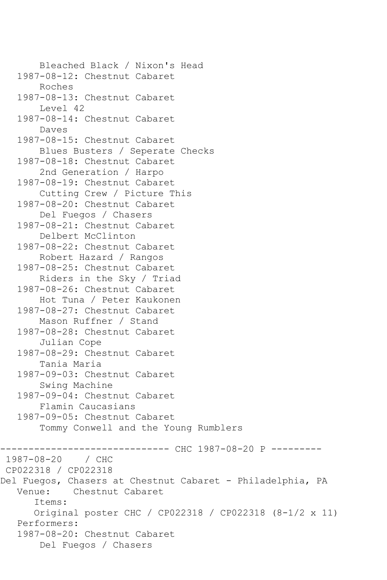Bleached Black / Nixon's Head 1987-08-12: Chestnut Cabaret Roches 1987-08-13: Chestnut Cabaret Level 42 1987-08-14: Chestnut Cabaret Daves 1987-08-15: Chestnut Cabaret Blues Busters / Seperate Checks 1987-08-18: Chestnut Cabaret 2nd Generation / Harpo 1987-08-19: Chestnut Cabaret Cutting Crew / Picture This 1987-08-20: Chestnut Cabaret Del Fuegos / Chasers 1987-08-21: Chestnut Cabaret Delbert McClinton 1987-08-22: Chestnut Cabaret Robert Hazard / Rangos 1987-08-25: Chestnut Cabaret Riders in the Sky / Triad 1987-08-26: Chestnut Cabaret Hot Tuna / Peter Kaukonen 1987-08-27: Chestnut Cabaret Mason Ruffner / Stand 1987-08-28: Chestnut Cabaret Julian Cope 1987-08-29: Chestnut Cabaret Tania Maria 1987-09-03: Chestnut Cabaret Swing Machine 1987-09-04: Chestnut Cabaret Flamin Caucasians 1987-09-05: Chestnut Cabaret Tommy Conwell and the Young Rumblers ------------------------------ CHC 1987-08-20 P --------- 1987-08-20 / CHC CP022318 / CP022318 Del Fuegos, Chasers at Chestnut Cabaret - Philadelphia, PA<br>Venue: Chestnut Cabaret Chestnut Cabaret Items: Original poster CHC / CP022318 / CP022318 (8-1/2 x 11) Performers: 1987-08-20: Chestnut Cabaret Del Fuegos / Chasers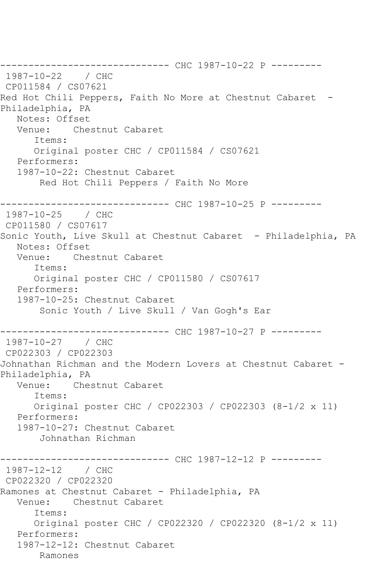------------------------------ CHC 1987-10-22 P --------- 1987-10-22 / CHC CP011584 / CS07621 Red Hot Chili Peppers, Faith No More at Chestnut Cabaret - Philadelphia, PA Notes: Offset Venue: Chestnut Cabaret Items: Original poster CHC / CP011584 / CS07621 Performers: 1987-10-22: Chestnut Cabaret Red Hot Chili Peppers / Faith No More ------------------------------ CHC 1987-10-25 P --------- 1987-10-25 / CHC CP011580 / CS07617 Sonic Youth, Live Skull at Chestnut Cabaret - Philadelphia, PA Notes: Offset<br>Venue: Che Chestnut Cabaret Items: Original poster CHC / CP011580 / CS07617 Performers: 1987-10-25: Chestnut Cabaret Sonic Youth / Live Skull / Van Gogh's Ear ------------------------------ CHC 1987-10-27 P --------- 1987-10-27 / CHC CP022303 / CP022303 Johnathan Richman and the Modern Lovers at Chestnut Cabaret - Philadelphia, PA<br>Venue: Che Chestnut Cabaret Items: Original poster CHC / CP022303 / CP022303 (8-1/2 x 11) Performers: 1987-10-27: Chestnut Cabaret Johnathan Richman -------------------- CHC 1987-12-12 P ---------1987-12-12 / CHC CP022320 / CP022320 Ramones at Chestnut Cabaret - Philadelphia, PA Venue: Chestnut Cabaret Items: Original poster CHC / CP022320 / CP022320 (8-1/2 x 11) Performers: 1987-12-12: Chestnut Cabaret Ramones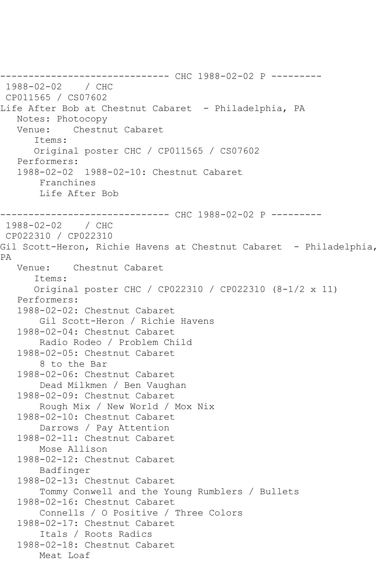------------------------------ CHC 1988-02-02 P --------- 1988-02-02 / CHC CP011565 / CS07602 Life After Bob at Chestnut Cabaret - Philadelphia, PA Notes: Photocopy Venue: Chestnut Cabaret Items: Original poster CHC / CP011565 / CS07602 Performers: 1988-02-02 1988-02-10: Chestnut Cabaret Franchines Life After Bob ------------------------------ CHC 1988-02-02 P --------- 1988-02-02 / CHC CP022310 / CP022310 Gil Scott-Heron, Richie Havens at Chestnut Cabaret - Philadelphia, PA Venue: Chestnut Cabaret Items: Original poster CHC / CP022310 / CP022310 (8-1/2 x 11) Performers: 1988-02-02: Chestnut Cabaret Gil Scott-Heron / Richie Havens 1988-02-04: Chestnut Cabaret Radio Rodeo / Problem Child 1988-02-05: Chestnut Cabaret 8 to the Bar 1988-02-06: Chestnut Cabaret Dead Milkmen / Ben Vaughan 1988-02-09: Chestnut Cabaret Rough Mix / New World / Mox Nix 1988-02-10: Chestnut Cabaret Darrows / Pay Attention 1988-02-11: Chestnut Cabaret Mose Allison 1988-02-12: Chestnut Cabaret Badfinger 1988-02-13: Chestnut Cabaret Tommy Conwell and the Young Rumblers / Bullets 1988-02-16: Chestnut Cabaret Connells / O Positive / Three Colors 1988-02-17: Chestnut Cabaret Itals / Roots Radics 1988-02-18: Chestnut Cabaret Meat Loaf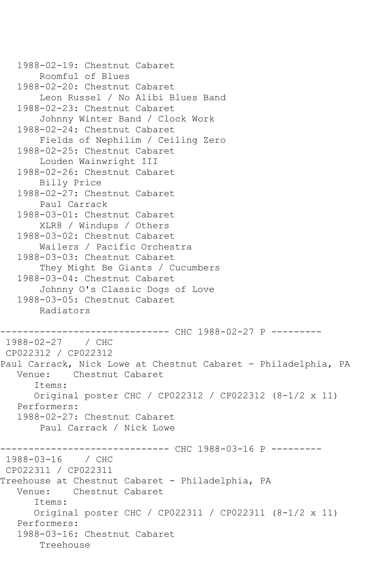```
 1988-02-19: Chestnut Cabaret
        Roomful of Blues
    1988-02-20: Chestnut Cabaret
        Leon Russel / No Alibi Blues Band
    1988-02-23: Chestnut Cabaret
        Johnny Winter Band / Clock Work
    1988-02-24: Chestnut Cabaret
        Fields of Nephilim / Ceiling Zero
    1988-02-25: Chestnut Cabaret
        Louden Wainwright III
    1988-02-26: Chestnut Cabaret
        Billy Price
    1988-02-27: Chestnut Cabaret
        Paul Carrack
    1988-03-01: Chestnut Cabaret
        XLR8 / Windups / Others
    1988-03-02: Chestnut Cabaret
        Wailers / Pacific Orchestra
    1988-03-03: Chestnut Cabaret
        They Might Be Giants / Cucumbers
    1988-03-04: Chestnut Cabaret
        Johnny O's Classic Dogs of Love
    1988-03-05: Chestnut Cabaret
        Radiators
------------------------------ CHC 1988-02-27 P ---------
1988-02-27 / CHC 
CP022312 / CP022312
Paul Carrack, Nick Lowe at Chestnut Cabaret - Philadelphia, PA<br>Venue: Chestnut Cabaret
            Chestnut Cabaret
       Items:
       Original poster CHC / CP022312 / CP022312 (8-1/2 x 11)
    Performers:
    1988-02-27: Chestnut Cabaret
        Paul Carrack / Nick Lowe
------------------------------ CHC 1988-03-16 P ---------
1988-03-16 / CHC 
CP022311 / CP022311
Treehouse at Chestnut Cabaret - Philadelphia, PA<br>Venue: Chestnut Cabaret
          Chestnut Cabaret
       Items:
       Original poster CHC / CP022311 / CP022311 (8-1/2 x 11)
    Performers:
    1988-03-16: Chestnut Cabaret
        Treehouse
```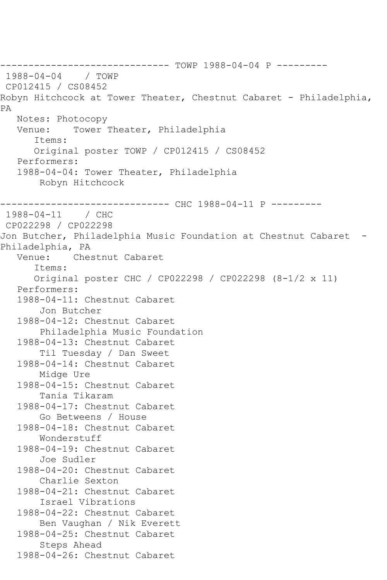-------------------------------- TOWP 1988-04-04 P ---------<br>1988-04-04 / TOWP  $1988 - 04 - 04$ CP012415 / CS08452 Robyn Hitchcock at Tower Theater, Chestnut Cabaret - Philadelphia, PA Notes: Photocopy Venue: Tower Theater, Philadelphia Items: Original poster TOWP / CP012415 / CS08452 Performers: 1988-04-04: Tower Theater, Philadelphia Robyn Hitchcock ---------------------------------- CHC 1988-04-11 P ---------<br>1988-04-11 / CHC  $1988 - 04 - 11$ CP022298 / CP022298 Jon Butcher, Philadelphia Music Foundation at Chestnut Cabaret - Philadelphia, PA<br>Venue: Che Chestnut Cabaret Items: Original poster CHC / CP022298 / CP022298 (8-1/2 x 11) Performers: 1988-04-11: Chestnut Cabaret Jon Butcher 1988-04-12: Chestnut Cabaret Philadelphia Music Foundation 1988-04-13: Chestnut Cabaret Til Tuesday / Dan Sweet 1988-04-14: Chestnut Cabaret Midge Ure 1988-04-15: Chestnut Cabaret Tania Tikaram 1988-04-17: Chestnut Cabaret Go Betweens / House 1988-04-18: Chestnut Cabaret Wonderstuff 1988-04-19: Chestnut Cabaret Joe Sudler 1988-04-20: Chestnut Cabaret Charlie Sexton 1988-04-21: Chestnut Cabaret Israel Vibrations 1988-04-22: Chestnut Cabaret Ben Vaughan / Nik Everett 1988-04-25: Chestnut Cabaret Steps Ahead 1988-04-26: Chestnut Cabaret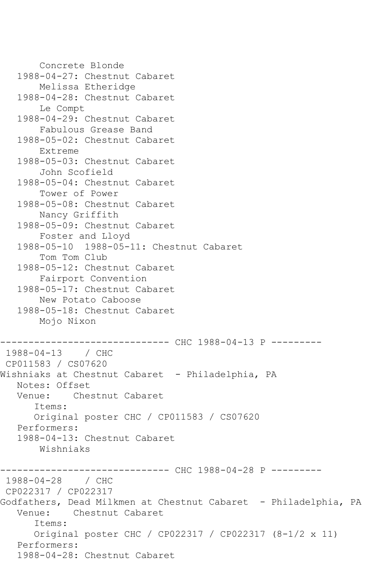Concrete Blonde 1988-04-27: Chestnut Cabaret Melissa Etheridge 1988-04-28: Chestnut Cabaret Le Compt 1988-04-29: Chestnut Cabaret Fabulous Grease Band 1988-05-02: Chestnut Cabaret Extreme 1988-05-03: Chestnut Cabaret John Scofield 1988-05-04: Chestnut Cabaret Tower of Power 1988-05-08: Chestnut Cabaret Nancy Griffith 1988-05-09: Chestnut Cabaret Foster and Lloyd 1988-05-10 1988-05-11: Chestnut Cabaret Tom Tom Club 1988-05-12: Chestnut Cabaret Fairport Convention 1988-05-17: Chestnut Cabaret New Potato Caboose 1988-05-18: Chestnut Cabaret Mojo Nixon ------------------------------ CHC 1988-04-13 P --------- 1988-04-13 / CHC CP011583 / CS07620 Wishniaks at Chestnut Cabaret - Philadelphia, PA Notes: Offset Venue: Chestnut Cabaret Items: Original poster CHC / CP011583 / CS07620 Performers: 1988-04-13: Chestnut Cabaret Wishniaks ------------------------------ CHC 1988-04-28 P --------- 1988-04-28 / CHC CP022317 / CP022317 Godfathers, Dead Milkmen at Chestnut Cabaret - Philadelphia, PA<br>Venue: Chestnut Cabaret Chestnut Cabaret Items: Original poster CHC / CP022317 / CP022317 (8-1/2 x 11) Performers: 1988-04-28: Chestnut Cabaret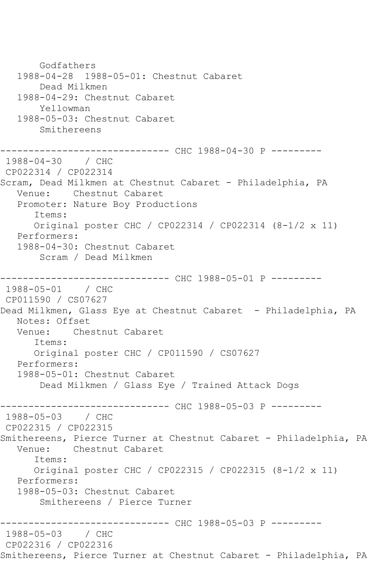Godfathers 1988-04-28 1988-05-01: Chestnut Cabaret Dead Milkmen 1988-04-29: Chestnut Cabaret Yellowman 1988-05-03: Chestnut Cabaret Smithereens ------------ CHC 1988-04-30 P ---------1988-04-30 / CHC CP022314 / CP022314 Scram, Dead Milkmen at Chestnut Cabaret - Philadelphia, PA Venue: Chestnut Cabaret Promoter: Nature Boy Productions Items: Original poster CHC / CP022314 / CP022314 (8-1/2 x 11) Performers: 1988-04-30: Chestnut Cabaret Scram / Dead Milkmen ------------------------------ CHC 1988-05-01 P --------- 1988-05-01 / CHC CP011590 / CS07627 Dead Milkmen, Glass Eye at Chestnut Cabaret - Philadelphia, PA Notes: Offset Venue: Chestnut Cabaret Items: Original poster CHC / CP011590 / CS07627 Performers: 1988-05-01: Chestnut Cabaret Dead Milkmen / Glass Eye / Trained Attack Dogs -------------------------------- CHC 1988-05-03 P ---------<br>1988-05-03 / CHC  $1988 - 05 - 03$ CP022315 / CP022315 Smithereens, Pierce Turner at Chestnut Cabaret - Philadelphia, PA<br>Venue: Chestnut Cabaret Chestnut Cabaret Items: Original poster CHC / CP022315 / CP022315 (8-1/2 x 11) Performers: 1988-05-03: Chestnut Cabaret Smithereens / Pierce Turner ------------------------------ CHC 1988-05-03 P --------- 1988-05-03 / CHC CP022316 / CP022316 Smithereens, Pierce Turner at Chestnut Cabaret - Philadelphia, PA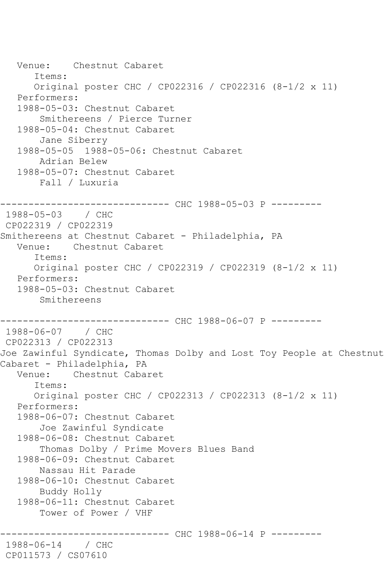Venue: Chestnut Cabaret Items: Original poster CHC / CP022316 / CP022316 (8-1/2 x 11) Performers: 1988-05-03: Chestnut Cabaret Smithereens / Pierce Turner 1988-05-04: Chestnut Cabaret Jane Siberry 1988-05-05 1988-05-06: Chestnut Cabaret Adrian Belew 1988-05-07: Chestnut Cabaret Fall / Luxuria ------------------------------ CHC 1988-05-03 P --------- 1988-05-03 / CHC CP022319 / CP022319 Smithereens at Chestnut Cabaret - Philadelphia, PA Venue: Chestnut Cabaret Items: Original poster CHC / CP022319 / CP022319 (8-1/2 x 11) Performers: 1988-05-03: Chestnut Cabaret Smithereens ---------- CHC 1988-06-07 P ---------1988-06-07 / CHC CP022313 / CP022313 Joe Zawinful Syndicate, Thomas Dolby and Lost Toy People at Chestnut Cabaret - Philadelphia, PA<br>Venue: Chestnut Caba Chestnut Cabaret Items: Original poster CHC / CP022313 / CP022313 (8-1/2 x 11) Performers: 1988-06-07: Chestnut Cabaret Joe Zawinful Syndicate 1988-06-08: Chestnut Cabaret Thomas Dolby / Prime Movers Blues Band 1988-06-09: Chestnut Cabaret Nassau Hit Parade 1988-06-10: Chestnut Cabaret Buddy Holly 1988-06-11: Chestnut Cabaret Tower of Power / VHF ------------------------------ CHC 1988-06-14 P --------- 1988-06-14 / CHC CP011573 / CS07610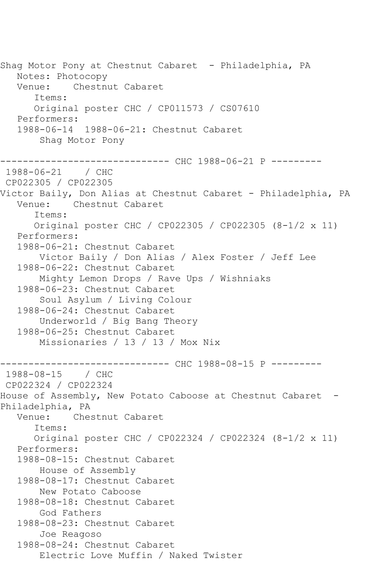Shag Motor Pony at Chestnut Cabaret - Philadelphia, PA Notes: Photocopy Venue: Chestnut Cabaret Items: Original poster CHC / CP011573 / CS07610 Performers: 1988-06-14 1988-06-21: Chestnut Cabaret Shag Motor Pony ------------------------------ CHC 1988-06-21 P --------- 1988-06-21 / CHC CP022305 / CP022305 Victor Baily, Don Alias at Chestnut Cabaret - Philadelphia, PA<br>Venue: Chestnut Cabaret Chestnut Cabaret Items: Original poster CHC / CP022305 / CP022305 (8-1/2 x 11) Performers: 1988-06-21: Chestnut Cabaret Victor Baily / Don Alias / Alex Foster / Jeff Lee 1988-06-22: Chestnut Cabaret Mighty Lemon Drops / Rave Ups / Wishniaks 1988-06-23: Chestnut Cabaret Soul Asylum / Living Colour 1988-06-24: Chestnut Cabaret Underworld / Big Bang Theory 1988-06-25: Chestnut Cabaret Missionaries / 13 / 13 / Mox Nix ------------------------------ CHC 1988-08-15 P --------- 1988-08-15 / CHC CP022324 / CP022324 House of Assembly, New Potato Caboose at Chestnut Cabaret -Philadelphia, PA<br>Venue: Ches Chestnut Cabaret Items: Original poster CHC / CP022324 / CP022324 (8-1/2 x 11) Performers: 1988-08-15: Chestnut Cabaret House of Assembly 1988-08-17: Chestnut Cabaret New Potato Caboose 1988-08-18: Chestnut Cabaret God Fathers 1988-08-23: Chestnut Cabaret Joe Reagoso 1988-08-24: Chestnut Cabaret Electric Love Muffin / Naked Twister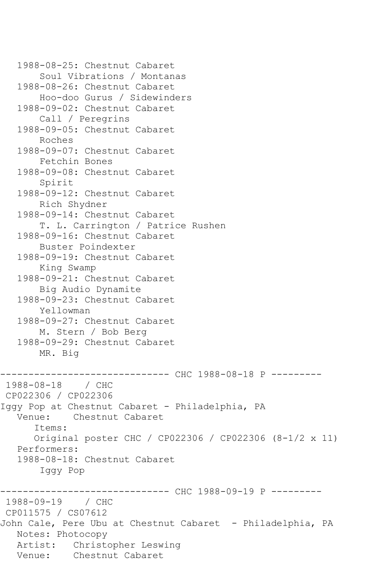1988-08-25: Chestnut Cabaret Soul Vibrations / Montanas 1988-08-26: Chestnut Cabaret Hoo-doo Gurus / Sidewinders 1988-09-02: Chestnut Cabaret Call / Peregrins 1988-09-05: Chestnut Cabaret Roches 1988-09-07: Chestnut Cabaret Fetchin Bones 1988-09-08: Chestnut Cabaret Spirit 1988-09-12: Chestnut Cabaret Rich Shydner 1988-09-14: Chestnut Cabaret T. L. Carrington / Patrice Rushen 1988-09-16: Chestnut Cabaret Buster Poindexter 1988-09-19: Chestnut Cabaret King Swamp 1988-09-21: Chestnut Cabaret Big Audio Dynamite 1988-09-23: Chestnut Cabaret Yellowman 1988-09-27: Chestnut Cabaret M. Stern / Bob Berg 1988-09-29: Chestnut Cabaret MR. Big ------------------------------ CHC 1988-08-18 P --------- 1988-08-18 / CHC CP022306 / CP022306 Iggy Pop at Chestnut Cabaret - Philadelphia, PA Chestnut Cabaret Items: Original poster CHC / CP022306 / CP022306 (8-1/2 x 11) Performers: 1988-08-18: Chestnut Cabaret Iggy Pop  $------CHC 1988-09-19 P$  ---------1988-09-19 / CHC CP011575 / CS07612 John Cale, Pere Ubu at Chestnut Cabaret - Philadelphia, PA Notes: Photocopy Artist: Christopher Leswing Venue: Chestnut Cabaret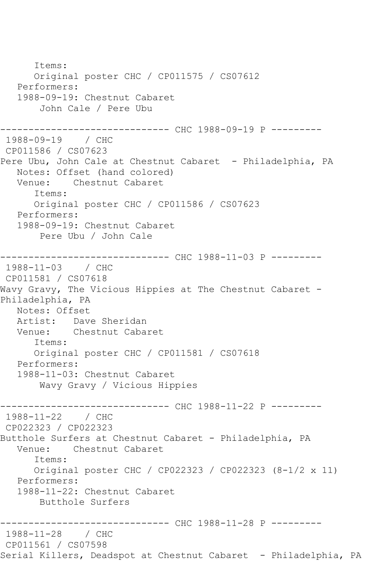Items: Original poster CHC / CP011575 / CS07612 Performers: 1988-09-19: Chestnut Cabaret John Cale / Pere Ubu ------------------------------ CHC 1988-09-19 P --------- 1988-09-19 / CHC CP011586 / CS07623 Pere Ubu, John Cale at Chestnut Cabaret - Philadelphia, PA Notes: Offset (hand colored) Venue: Chestnut Cabaret Items: Original poster CHC / CP011586 / CS07623 Performers: 1988-09-19: Chestnut Cabaret Pere Ubu / John Cale ------------------------------ CHC 1988-11-03 P --------- 1988-11-03 / CHC CP011581 / CS07618 Wavy Gravy, The Vicious Hippies at The Chestnut Cabaret - Philadelphia, PA Notes: Offset Artist: Dave Sheridan<br>Venue: Chestnut Caba Chestnut Cabaret Items: Original poster CHC / CP011581 / CS07618 Performers: 1988-11-03: Chestnut Cabaret Wavy Gravy / Vicious Hippies ------------------------------ CHC 1988-11-22 P --------- 1988-11-22 / CHC CP022323 / CP022323 Butthole Surfers at Chestnut Cabaret - Philadelphia, PA Venue: Chestnut Cabaret Items: Original poster CHC / CP022323 / CP022323 (8-1/2 x 11) Performers: 1988-11-22: Chestnut Cabaret Butthole Surfers ------------------------------ CHC 1988-11-28 P --------- 1988-11-28 / CHC CP011561 / CS07598 Serial Killers, Deadspot at Chestnut Cabaret - Philadelphia, PA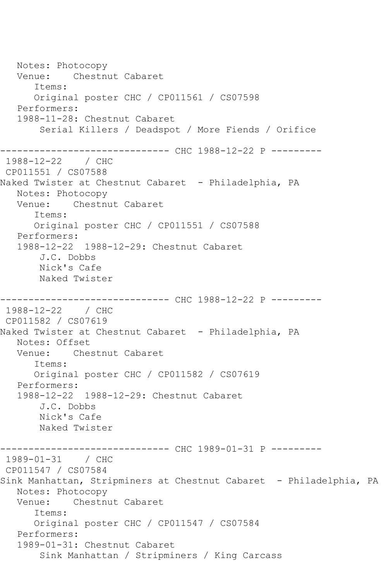Notes: Photocopy Venue: Chestnut Cabaret Items: Original poster CHC / CP011561 / CS07598 Performers: 1988-11-28: Chestnut Cabaret Serial Killers / Deadspot / More Fiends / Orifice ------------ CHC 1988-12-22 P ----------1988-12-22 / CHC CP011551 / CS07588 Naked Twister at Chestnut Cabaret - Philadelphia, PA Notes: Photocopy Venue: Chestnut Cabaret Items: Original poster CHC / CP011551 / CS07588 Performers: 1988-12-22 1988-12-29: Chestnut Cabaret J.C. Dobbs Nick's Cafe Naked Twister ------------------------------ CHC 1988-12-22 P --------- 1988-12-22 / CHC CP011582 / CS07619 Naked Twister at Chestnut Cabaret - Philadelphia, PA Notes: Offset Venue: Chestnut Cabaret Items: Original poster CHC / CP011582 / CS07619 Performers: 1988-12-22 1988-12-29: Chestnut Cabaret J.C. Dobbs Nick's Cafe Naked Twister ------------------------------ CHC 1989-01-31 P --------- 1989-01-31 / CHC CP011547 / CS07584 Sink Manhattan, Stripminers at Chestnut Cabaret - Philadelphia, PA Notes: Photocopy Venue: Chestnut Cabaret Items: Original poster CHC / CP011547 / CS07584 Performers: 1989-01-31: Chestnut Cabaret Sink Manhattan / Stripminers / King Carcass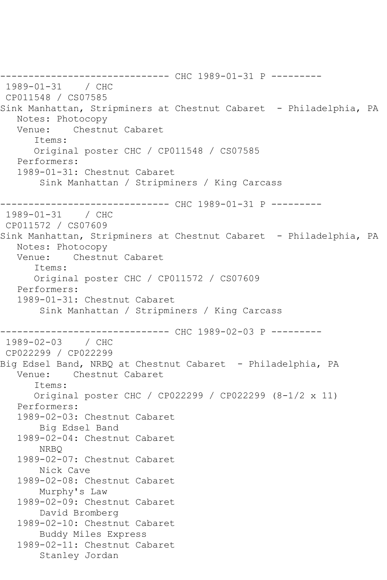------------------------------ CHC 1989-01-31 P --------- 1989-01-31 / CHC CP011548 / CS07585 Sink Manhattan, Stripminers at Chestnut Cabaret - Philadelphia, PA Notes: Photocopy Venue: Chestnut Cabaret Items: Original poster CHC / CP011548 / CS07585 Performers: 1989-01-31: Chestnut Cabaret Sink Manhattan / Stripminers / King Carcass ------------------------------ CHC 1989-01-31 P --------- 1989-01-31 / CHC CP011572 / CS07609 Sink Manhattan, Stripminers at Chestnut Cabaret - Philadelphia, PA Notes: Photocopy<br>Venue: Chestnu Chestnut Cabaret Items: Original poster CHC / CP011572 / CS07609 Performers: 1989-01-31: Chestnut Cabaret Sink Manhattan / Stripminers / King Carcass ------------------------------ CHC 1989-02-03 P --------- 1989-02-03 / CHC CP022299 / CP022299 Big Edsel Band, NRBQ at Chestnut Cabaret - Philadelphia, PA Venue: Chestnut Cabaret Items: Original poster CHC / CP022299 / CP022299 (8-1/2 x 11) Performers: 1989-02-03: Chestnut Cabaret Big Edsel Band 1989-02-04: Chestnut Cabaret NRBQ 1989-02-07: Chestnut Cabaret Nick Cave 1989-02-08: Chestnut Cabaret Murphy's Law 1989-02-09: Chestnut Cabaret David Bromberg 1989-02-10: Chestnut Cabaret Buddy Miles Express 1989-02-11: Chestnut Cabaret Stanley Jordan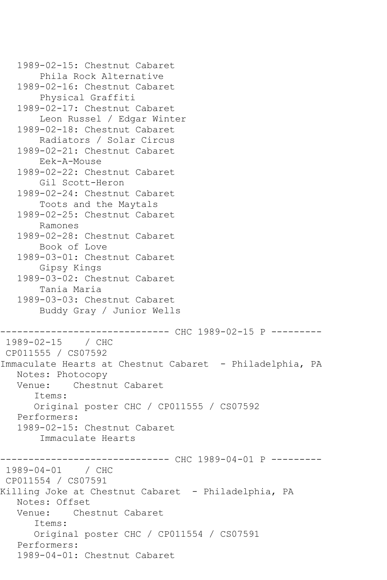```
 1989-02-15: Chestnut Cabaret
        Phila Rock Alternative
    1989-02-16: Chestnut Cabaret
        Physical Graffiti
    1989-02-17: Chestnut Cabaret
        Leon Russel / Edgar Winter
    1989-02-18: Chestnut Cabaret
        Radiators / Solar Circus
    1989-02-21: Chestnut Cabaret
        Eek-A-Mouse
    1989-02-22: Chestnut Cabaret
        Gil Scott-Heron
    1989-02-24: Chestnut Cabaret
        Toots and the Maytals
    1989-02-25: Chestnut Cabaret
        Ramones
    1989-02-28: Chestnut Cabaret
        Book of Love
    1989-03-01: Chestnut Cabaret
        Gipsy Kings
    1989-03-02: Chestnut Cabaret
        Tania Maria
    1989-03-03: Chestnut Cabaret
        Buddy Gray / Junior Wells
------------------------------ CHC 1989-02-15 P ---------
1989-02-15 / CHC 
CP011555 / CS07592
Immaculate Hearts at Chestnut Cabaret - Philadelphia, PA
  Notes: Photocopy<br>Venue: Chestn
           Chestnut Cabaret
       Items:
       Original poster CHC / CP011555 / CS07592
    Performers:
    1989-02-15: Chestnut Cabaret
        Immaculate Hearts
                     ----------- CHC 1989-04-01 P ---------
1989-04-01 / CHC 
CP011554 / CS07591
Killing Joke at Chestnut Cabaret - Philadelphia, PA
  Notes: Offset<br>Venue: Ches
           Chestnut Cabaret
       Items:
       Original poster CHC / CP011554 / CS07591
    Performers:
    1989-04-01: Chestnut Cabaret
```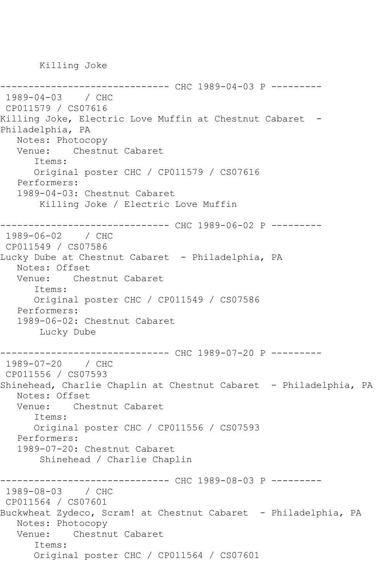Killing Joke

------------- CHC 1989-04-03 P ---------1989-04-03 / CHC CP011579 / CS07616 Killing Joke, Electric Love Muffin at Chestnut Cabaret -Philadelphia, PA Notes: Photocopy Venue: Chestnut Cabaret Items: Original poster CHC / CP011579 / CS07616 Performers: 1989-04-03: Chestnut Cabaret Killing Joke / Electric Love Muffin ------------------------------ CHC 1989-06-02 P --------- 1989-06-02 / CHC CP011549 / CS07586 Lucky Dube at Chestnut Cabaret - Philadelphia, PA Notes: Offset Venue: Chestnut Cabaret Items: Original poster CHC / CP011549 / CS07586 Performers: 1989-06-02: Chestnut Cabaret Lucky Dube ------------------------------ CHC 1989-07-20 P --------- 1989-07-20 / CHC CP011556 / CS07593 Shinehead, Charlie Chaplin at Chestnut Cabaret - Philadelphia, PA Notes: Offset<br>Venue: Ches Chestnut Cabaret Items: Original poster CHC / CP011556 / CS07593 Performers: 1989-07-20: Chestnut Cabaret Shinehead / Charlie Chaplin ------------------------------ CHC 1989-08-03 P --------- 1989-08-03 / CHC CP011564 / CS07601 Buckwheat Zydeco, Scram! at Chestnut Cabaret - Philadelphia, PA Notes: Photocopy Venue: Chestnut Cabaret Items: Original poster CHC / CP011564 / CS07601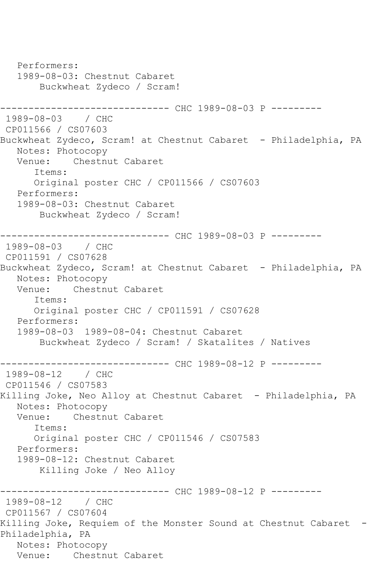Performers: 1989-08-03: Chestnut Cabaret Buckwheat Zydeco / Scram! ------------------------------ CHC 1989-08-03 P --------- 1989-08-03 / CHC CP011566 / CS07603 Buckwheat Zydeco, Scram! at Chestnut Cabaret - Philadelphia, PA Notes: Photocopy Venue: Chestnut Cabaret Items: Original poster CHC / CP011566 / CS07603 Performers: 1989-08-03: Chestnut Cabaret Buckwheat Zydeco / Scram! ------------------------------ CHC 1989-08-03 P --------- 1989-08-03 CP011591 / CS07628 Buckwheat Zydeco, Scram! at Chestnut Cabaret - Philadelphia, PA Notes: Photocopy Venue: Chestnut Cabaret Items: Original poster CHC / CP011591 / CS07628 Performers: 1989-08-03 1989-08-04: Chestnut Cabaret Buckwheat Zydeco / Scram! / Skatalites / Natives ------------------------------ CHC 1989-08-12 P --------- 1989-08-12 / CHC CP011546 / CS07583 Killing Joke, Neo Alloy at Chestnut Cabaret - Philadelphia, PA Notes: Photocopy<br>Venue: Chestn Chestnut Cabaret Items: Original poster CHC / CP011546 / CS07583 Performers: 1989-08-12: Chestnut Cabaret Killing Joke / Neo Alloy ------------ CHC 1989-08-12 P ---------1989-08-12 / CHC CP011567 / CS07604 Killing Joke, Requiem of the Monster Sound at Chestnut Cabaret -Philadelphia, PA Notes: Photocopy Venue: Chestnut Cabaret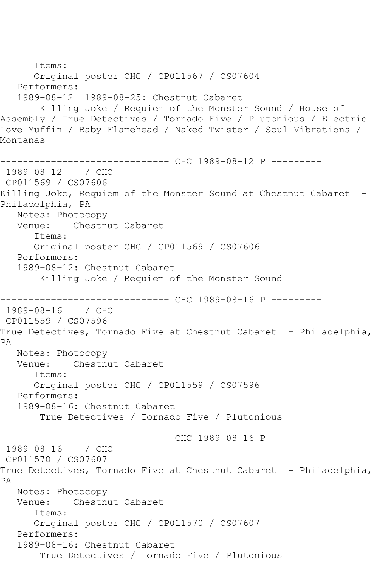Items: Original poster CHC / CP011567 / CS07604 Performers: 1989-08-12 1989-08-25: Chestnut Cabaret Killing Joke / Requiem of the Monster Sound / House of Assembly / True Detectives / Tornado Five / Plutonious / Electric Love Muffin / Baby Flamehead / Naked Twister / Soul Vibrations / Montanas ------------------------------ CHC 1989-08-12 P --------- 1989-08-12 / CHC CP011569 / CS07606 Killing Joke, Requiem of the Monster Sound at Chestnut Cabaret -Philadelphia, PA Notes: Photocopy Venue: Chestnut Cabaret Items: Original poster CHC / CP011569 / CS07606 Performers: 1989-08-12: Chestnut Cabaret Killing Joke / Requiem of the Monster Sound -------------- CHC 1989-08-16 P ---------1989-08-16 / CHC CP011559 / CS07596 True Detectives, Tornado Five at Chestnut Cabaret - Philadelphia, PA Notes: Photocopy Venue: Chestnut Cabaret Items: Original poster CHC / CP011559 / CS07596 Performers: 1989-08-16: Chestnut Cabaret True Detectives / Tornado Five / Plutonious ------------------------------ CHC 1989-08-16 P --------- 1989-08-16 / CHC CP011570 / CS07607 True Detectives, Tornado Five at Chestnut Cabaret - Philadelphia, PA Notes: Photocopy Venue: Chestnut Cabaret Items: Original poster CHC / CP011570 / CS07607 Performers: 1989-08-16: Chestnut Cabaret True Detectives / Tornado Five / Plutonious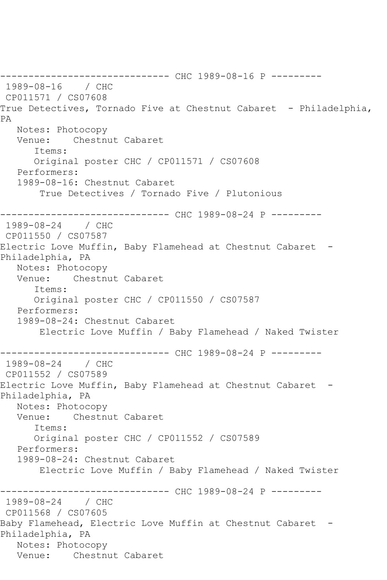------------------------------ CHC 1989-08-16 P --------- 1989-08-16 / CHC CP011571 / CS07608 True Detectives, Tornado Five at Chestnut Cabaret - Philadelphia, PA Notes: Photocopy Venue: Chestnut Cabaret Items: Original poster CHC / CP011571 / CS07608 Performers: 1989-08-16: Chestnut Cabaret True Detectives / Tornado Five / Plutonious ------------- CHC 1989-08-24 P ----------1989-08-24 / CHC CP011550 / CS07587 Electric Love Muffin, Baby Flamehead at Chestnut Cabaret - Philadelphia, PA Notes: Photocopy Venue: Chestnut Cabaret Items: Original poster CHC / CP011550 / CS07587 Performers: 1989-08-24: Chestnut Cabaret Electric Love Muffin / Baby Flamehead / Naked Twister ------------------------------ CHC 1989-08-24 P --------- 1989-08-24 CP011552 / CS07589 Electric Love Muffin, Baby Flamehead at Chestnut Cabaret -Philadelphia, PA Notes: Photocopy<br>Venue: Chestnu Chestnut Cabaret Items: Original poster CHC / CP011552 / CS07589 Performers: 1989-08-24: Chestnut Cabaret Electric Love Muffin / Baby Flamehead / Naked Twister ----------- CHC 1989-08-24 P ---------1989-08-24 / CHC CP011568 / CS07605 Baby Flamehead, Electric Love Muffin at Chestnut Cabaret -Philadelphia, PA Notes: Photocopy Venue: Chestnut Cabaret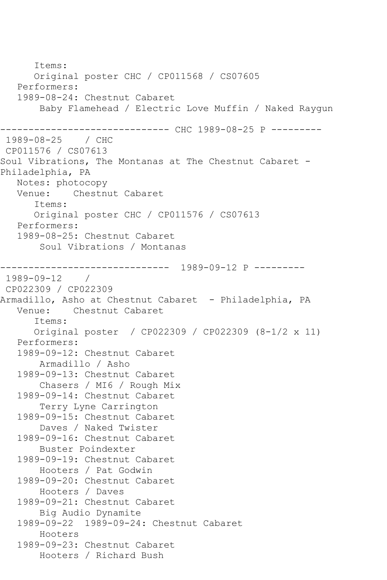Items: Original poster CHC / CP011568 / CS07605 Performers: 1989-08-24: Chestnut Cabaret Baby Flamehead / Electric Love Muffin / Naked Raygun ------------ CHC 1989-08-25 P ---------1989-08-25 / CHC CP011576 / CS07613 Soul Vibrations, The Montanas at The Chestnut Cabaret -Philadelphia, PA Notes: photocopy Venue: Chestnut Cabaret Items: Original poster CHC / CP011576 / CS07613 Performers: 1989-08-25: Chestnut Cabaret Soul Vibrations / Montanas ------------------------------ 1989-09-12 P --------- 1989-09-12 / CP022309 / CP022309 Armadillo, Asho at Chestnut Cabaret - Philadelphia, PA<br>Venue: Chestnut Cabaret Chestnut Cabaret Items: Original poster / CP022309 / CP022309 (8-1/2 x 11) Performers: 1989-09-12: Chestnut Cabaret Armadillo / Asho 1989-09-13: Chestnut Cabaret Chasers / MI6 / Rough Mix 1989-09-14: Chestnut Cabaret Terry Lyne Carrington 1989-09-15: Chestnut Cabaret Daves / Naked Twister 1989-09-16: Chestnut Cabaret Buster Poindexter 1989-09-19: Chestnut Cabaret Hooters / Pat Godwin 1989-09-20: Chestnut Cabaret Hooters / Daves 1989-09-21: Chestnut Cabaret Big Audio Dynamite 1989-09-22 1989-09-24: Chestnut Cabaret Hooters 1989-09-23: Chestnut Cabaret Hooters / Richard Bush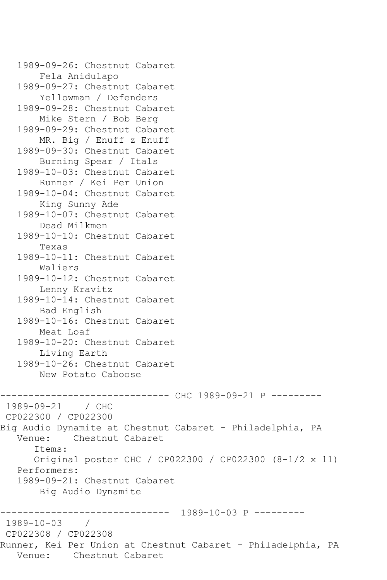1989-09-26: Chestnut Cabaret Fela Anidulapo 1989-09-27: Chestnut Cabaret Yellowman / Defenders 1989-09-28: Chestnut Cabaret Mike Stern / Bob Berg 1989-09-29: Chestnut Cabaret MR. Big / Enuff z Enuff 1989-09-30: Chestnut Cabaret Burning Spear / Itals 1989-10-03: Chestnut Cabaret Runner / Kei Per Union 1989-10-04: Chestnut Cabaret King Sunny Ade 1989-10-07: Chestnut Cabaret Dead Milkmen 1989-10-10: Chestnut Cabaret Texas 1989-10-11: Chestnut Cabaret Waliers 1989-10-12: Chestnut Cabaret Lenny Kravitz 1989-10-14: Chestnut Cabaret Bad English 1989-10-16: Chestnut Cabaret Meat Loaf 1989-10-20: Chestnut Cabaret Living Earth 1989-10-26: Chestnut Cabaret New Potato Caboose ------------------------------ CHC 1989-09-21 P --------- 1989-09-21 / CHC CP022300 / CP022300 Big Audio Dynamite at Chestnut Cabaret - Philadelphia, PA Venue: Chestnut Cabaret Items: Original poster CHC / CP022300 / CP022300 (8-1/2 x 11) Performers: 1989-09-21: Chestnut Cabaret Big Audio Dynamite ------------------------------ 1989-10-03 P --------- 1989-10-03 / CP022308 / CP022308 Runner, Kei Per Union at Chestnut Cabaret - Philadelphia, PA Venue: Chestnut Cabaret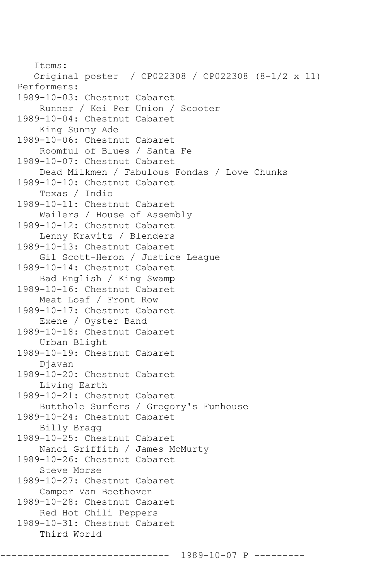Items: Original poster / CP022308 / CP022308 (8-1/2 x 11) Performers: 1989-10-03: Chestnut Cabaret Runner / Kei Per Union / Scooter 1989-10-04: Chestnut Cabaret King Sunny Ade 1989-10-06: Chestnut Cabaret Roomful of Blues / Santa Fe 1989-10-07: Chestnut Cabaret Dead Milkmen / Fabulous Fondas / Love Chunks 1989-10-10: Chestnut Cabaret Texas / Indio 1989-10-11: Chestnut Cabaret Wailers / House of Assembly 1989-10-12: Chestnut Cabaret Lenny Kravitz / Blenders 1989-10-13: Chestnut Cabaret Gil Scott-Heron / Justice League 1989-10-14: Chestnut Cabaret Bad English / King Swamp 1989-10-16: Chestnut Cabaret Meat Loaf / Front Row 1989-10-17: Chestnut Cabaret Exene / Oyster Band 1989-10-18: Chestnut Cabaret Urban Blight 1989-10-19: Chestnut Cabaret Djavan 1989-10-20: Chestnut Cabaret Living Earth 1989-10-21: Chestnut Cabaret Butthole Surfers / Gregory's Funhouse 1989-10-24: Chestnut Cabaret Billy Bragg 1989-10-25: Chestnut Cabaret Nanci Griffith / James McMurty 1989-10-26: Chestnut Cabaret Steve Morse 1989-10-27: Chestnut Cabaret Camper Van Beethoven 1989-10-28: Chestnut Cabaret Red Hot Chili Peppers 1989-10-31: Chestnut Cabaret Third World

------------------------------ 1989-10-07 P ---------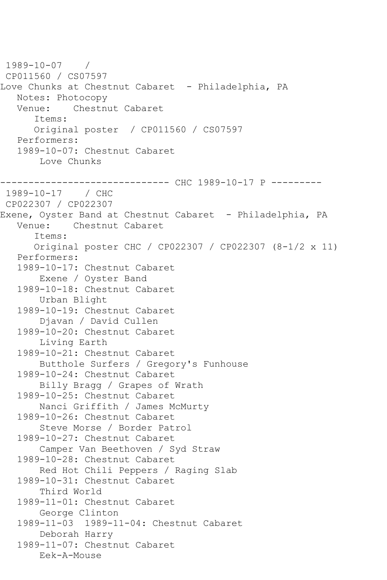1989-10-07 / CP011560 / CS07597 Love Chunks at Chestnut Cabaret - Philadelphia, PA Notes: Photocopy<br>Venue: Chestn Chestnut Cabaret Items: Original poster / CP011560 / CS07597 Performers: 1989-10-07: Chestnut Cabaret Love Chunks ------------------------------ CHC 1989-10-17 P ---------  $1989 - 10 - 17$ CP022307 / CP022307 Exene, Oyster Band at Chestnut Cabaret - Philadelphia, PA Venue: Chestnut Cabaret Items: Original poster CHC / CP022307 / CP022307 (8-1/2 x 11) Performers: 1989-10-17: Chestnut Cabaret Exene / Oyster Band 1989-10-18: Chestnut Cabaret Urban Blight 1989-10-19: Chestnut Cabaret Djavan / David Cullen 1989-10-20: Chestnut Cabaret Living Earth 1989-10-21: Chestnut Cabaret Butthole Surfers / Gregory's Funhouse 1989-10-24: Chestnut Cabaret Billy Bragg / Grapes of Wrath 1989-10-25: Chestnut Cabaret Nanci Griffith / James McMurty 1989-10-26: Chestnut Cabaret Steve Morse / Border Patrol 1989-10-27: Chestnut Cabaret Camper Van Beethoven / Syd Straw 1989-10-28: Chestnut Cabaret Red Hot Chili Peppers / Raging Slab 1989-10-31: Chestnut Cabaret Third World 1989-11-01: Chestnut Cabaret George Clinton 1989-11-03 1989-11-04: Chestnut Cabaret Deborah Harry 1989-11-07: Chestnut Cabaret Eek-A-Mouse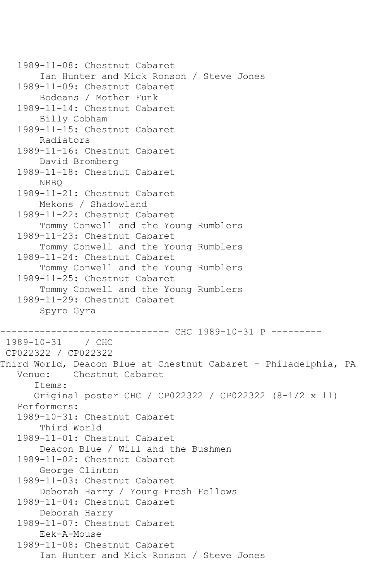1989-11-08: Chestnut Cabaret Ian Hunter and Mick Ronson / Steve Jones 1989-11-09: Chestnut Cabaret Bodeans / Mother Funk 1989-11-14: Chestnut Cabaret Billy Cobham 1989-11-15: Chestnut Cabaret Radiators 1989-11-16: Chestnut Cabaret David Bromberg 1989-11-18: Chestnut Cabaret NRBQ 1989-11-21: Chestnut Cabaret Mekons / Shadowland 1989-11-22: Chestnut Cabaret Tommy Conwell and the Young Rumblers 1989-11-23: Chestnut Cabaret Tommy Conwell and the Young Rumblers 1989-11-24: Chestnut Cabaret Tommy Conwell and the Young Rumblers 1989-11-25: Chestnut Cabaret Tommy Conwell and the Young Rumblers 1989-11-29: Chestnut Cabaret Spyro Gyra ------------------------------ CHC 1989-10-31 P --------- 1989-10-31 / CHC CP022322 / CP022322 Third World, Deacon Blue at Chestnut Cabaret - Philadelphia, PA<br>Venue: Chestnut Cabaret Chestnut Cabaret Items: Original poster CHC / CP022322 / CP022322 (8-1/2 x 11) Performers: 1989-10-31: Chestnut Cabaret Third World 1989-11-01: Chestnut Cabaret Deacon Blue / Will and the Bushmen 1989-11-02: Chestnut Cabaret George Clinton 1989-11-03: Chestnut Cabaret Deborah Harry / Young Fresh Fellows 1989-11-04: Chestnut Cabaret Deborah Harry 1989-11-07: Chestnut Cabaret Eek-A-Mouse 1989-11-08: Chestnut Cabaret Ian Hunter and Mick Ronson / Steve Jones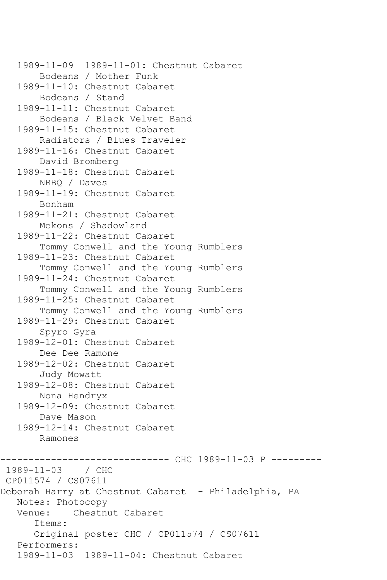1989-11-09 1989-11-01: Chestnut Cabaret Bodeans / Mother Funk 1989-11-10: Chestnut Cabaret Bodeans / Stand 1989-11-11: Chestnut Cabaret Bodeans / Black Velvet Band 1989-11-15: Chestnut Cabaret Radiators / Blues Traveler 1989-11-16: Chestnut Cabaret David Bromberg 1989-11-18: Chestnut Cabaret NRBQ / Daves 1989-11-19: Chestnut Cabaret Bonham 1989-11-21: Chestnut Cabaret Mekons / Shadowland 1989-11-22: Chestnut Cabaret Tommy Conwell and the Young Rumblers 1989-11-23: Chestnut Cabaret Tommy Conwell and the Young Rumblers 1989-11-24: Chestnut Cabaret Tommy Conwell and the Young Rumblers 1989-11-25: Chestnut Cabaret Tommy Conwell and the Young Rumblers 1989-11-29: Chestnut Cabaret Spyro Gyra 1989-12-01: Chestnut Cabaret Dee Dee Ramone 1989-12-02: Chestnut Cabaret Judy Mowatt 1989-12-08: Chestnut Cabaret Nona Hendryx 1989-12-09: Chestnut Cabaret Dave Mason 1989-12-14: Chestnut Cabaret Ramones ---------- CHC 1989-11-03 P ---------1989-11-03 / CHC CP011574 / CS07611 Deborah Harry at Chestnut Cabaret - Philadelphia, PA Notes: Photocopy<br>Venue: Chestni Chestnut Cabaret Items: Original poster CHC / CP011574 / CS07611 Performers: 1989-11-03 1989-11-04: Chestnut Cabaret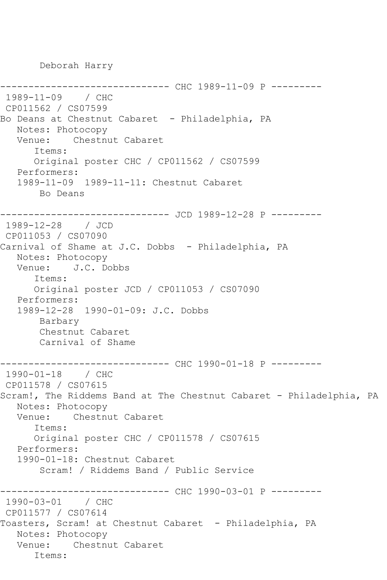Deborah Harry

```
------------- CHC 1989-11-09 P ---------
1989-11-09 / CHC 
CP011562 / CS07599
Bo Deans at Chestnut Cabaret - Philadelphia, PA
   Notes: Photocopy
   Venue: Chestnut Cabaret
      Items:
      Original poster CHC / CP011562 / CS07599
   Performers:
   1989-11-09 1989-11-11: Chestnut Cabaret
       Bo Deans
------------------------------ JCD 1989-12-28 P ---------
1989-12-28 / JCD 
CP011053 / CS07090
Carnival of Shame at J.C. Dobbs - Philadelphia, PA
   Notes: Photocopy
   Venue: J.C. Dobbs
      Items:
      Original poster JCD / CP011053 / CS07090
   Performers:
   1989-12-28 1990-01-09: J.C. Dobbs
       Barbary
       Chestnut Cabaret
       Carnival of Shame
------------------------------ CHC 1990-01-18 P ---------
1990-01-18 / CHC 
CP011578 / CS07615
Scram!, The Riddems Band at The Chestnut Cabaret - Philadelphia, PA
   Notes: Photocopy
   Venue: Chestnut Cabaret
      Items:
      Original poster CHC / CP011578 / CS07615
   Performers:
   1990-01-18: Chestnut Cabaret
       Scram! / Riddems Band / Public Service
                  ------------ CHC 1990-03-01 P ---------
1990-03-01 / CHC 
CP011577 / CS07614
Toasters, Scram! at Chestnut Cabaret - Philadelphia, PA
   Notes: Photocopy
   Venue: Chestnut Cabaret
      Items:
```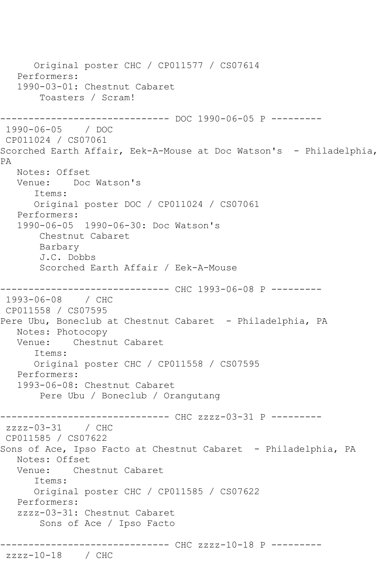Original poster CHC / CP011577 / CS07614 Performers: 1990-03-01: Chestnut Cabaret Toasters / Scram! --------------------- DOC 1990-06-05 P ---------1990-06-05 / DOC CP011024 / CS07061 Scorched Earth Affair, Eek-A-Mouse at Doc Watson's - Philadelphia, PA Notes: Offset Venue: Doc Watson's Items: Original poster DOC / CP011024 / CS07061 Performers: 1990-06-05 1990-06-30: Doc Watson's Chestnut Cabaret Barbary J.C. Dobbs Scorched Earth Affair / Eek-A-Mouse --------------------- CHC 1993-06-08 P ---------1993-06-08 / CHC CP011558 / CS07595 Pere Ubu, Boneclub at Chestnut Cabaret - Philadelphia, PA Notes: Photocopy<br>Venue: Chestnu Chestnut Cabaret Items: Original poster CHC / CP011558 / CS07595 Performers: 1993-06-08: Chestnut Cabaret Pere Ubu / Boneclub / Orangutang ------------------------------ CHC zzzz-03-31 P -------- zzzz-03-31 / CHC CP011585 / CS07622 Sons of Ace, Ipso Facto at Chestnut Cabaret - Philadelphia, PA Notes: Offset Venue: Chestnut Cabaret Items: Original poster CHC / CP011585 / CS07622 Performers: zzzz-03-31: Chestnut Cabaret Sons of Ace / Ipso Facto ------------------------------ CHC zzzz-10-18 P -------- zzzz-10-18 / CHC